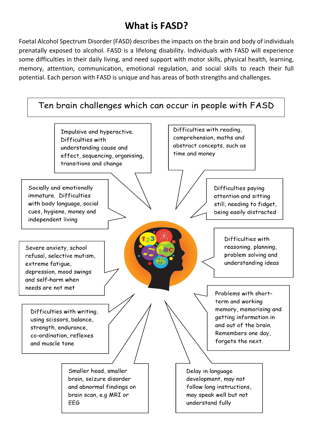# **What is FASD?**

Foetal Alcohol Spectrum Disorder (FASD) describes the impacts on the brain and body of individuals prenatally exposed to alcohol. FASD is a lifelong disability. Individuals with FASD will experience some difficulties in their daily living, and need support with motor skills, physical health, learning, memory, attention, communication, emotional regulation, and social skills to reach their full potential. Each person with FASD is unique and has areas of both strengths and challenges.

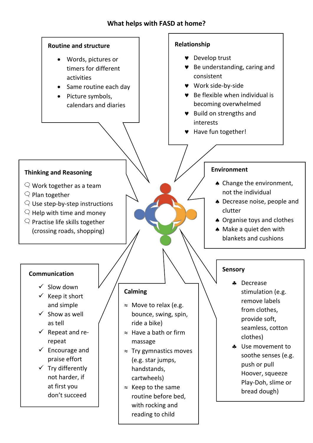#### **What helps with FASD at home?**

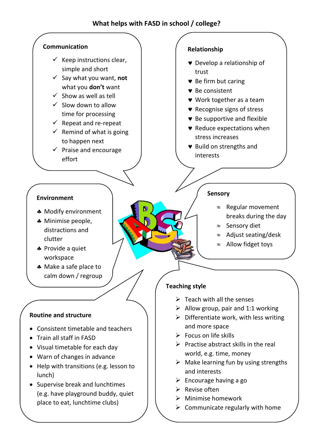#### **What helps with FASD in school / college?**



- Help with transitions (e.g. lesson to lunch)
- Supervise break and lunchtimes (e.g. have playground buddy, quiet place to eat, lunchtime clubs)

## $\triangleright$  Encourage having a go

and interests

- $\triangleright$  Revise often
- ➢ Minimise homework
- $\triangleright$  Communicate regularly with home